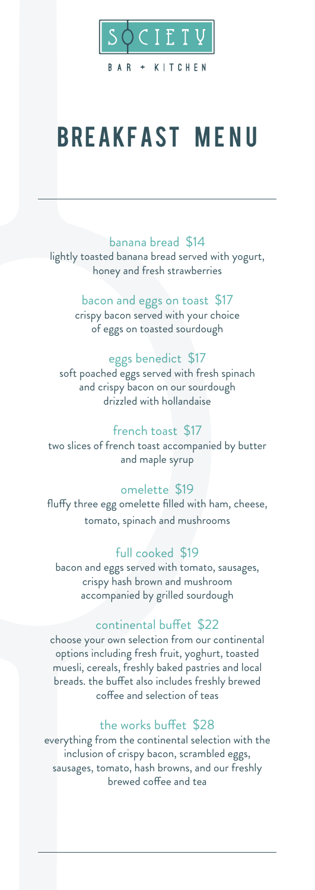

# **BREAKFAST MENU**

## banana bread \$14

lightly toasted banana bread served with yogurt, honey and fresh strawberries

## bacon and eggs on toast \$17

crispy bacon served with your choice of eggs on toasted sourdough

# eggs benedict \$17

soft poached eggs served with fresh spinach and crispy bacon on our sourdough drizzled with hollandaise

## french toast \$17

two slices of french toast accompanied by butter and maple syrup

## omelette \$19

fluffy three egg omelette filled with ham, cheese, tomato, spinach and mushrooms

## full cooked \$19

bacon and eggs served with tomato, sausages, crispy hash brown and mushroom accompanied by grilled sourdough

#### continental buffet \$22

choose your own selection from our continental options including fresh fruit, yoghurt, toasted muesli, cereals, freshly baked pastries and local breads. the buffet also includes freshly brewed coffee and selection of teas

#### the works buffet \$28

everything from the continental selection with the inclusion of crispy bacon, scrambled eggs, sausages, tomato, hash browns, and our freshly brewed coffee and tea